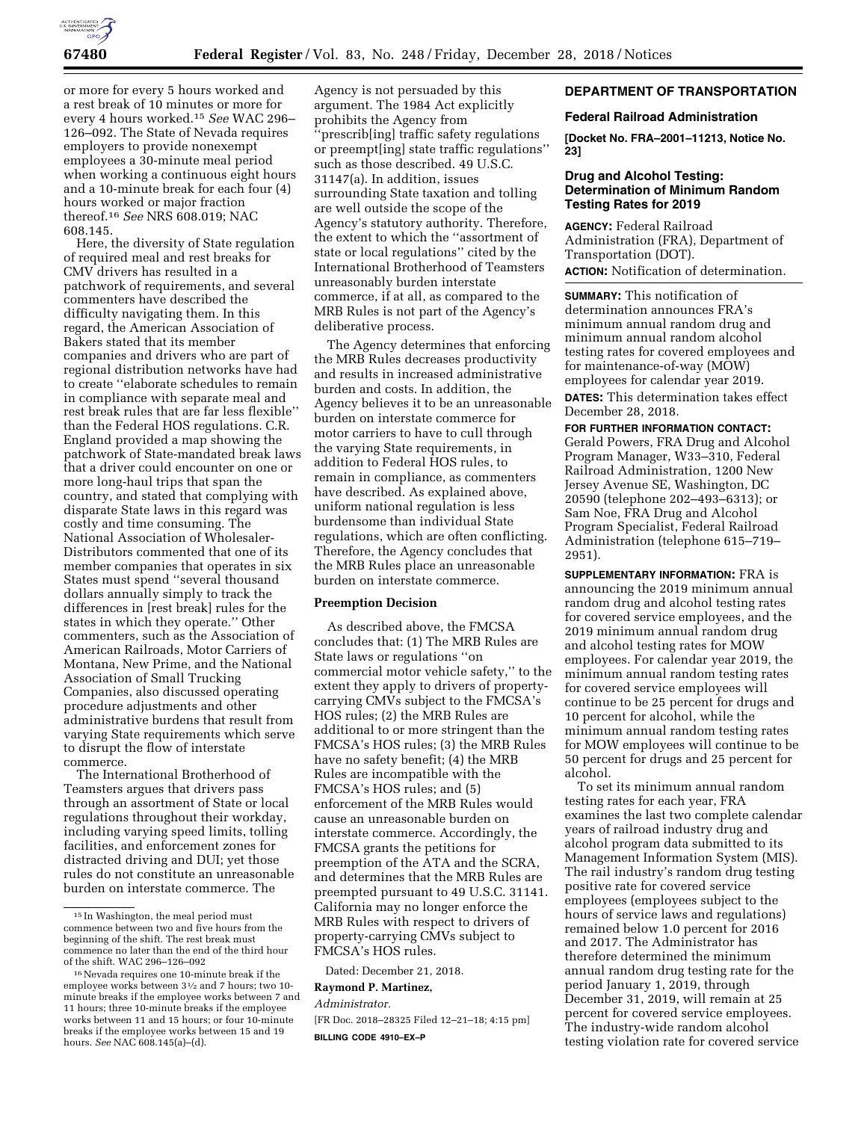

or more for every 5 hours worked and a rest break of 10 minutes or more for every 4 hours worked.15 *See* WAC 296– 126–092. The State of Nevada requires employers to provide nonexempt employees a 30-minute meal period when working a continuous eight hours and a 10-minute break for each four (4) hours worked or major fraction thereof.16 *See* NRS 608.019; NAC 608.145.

Here, the diversity of State regulation of required meal and rest breaks for CMV drivers has resulted in a patchwork of requirements, and several commenters have described the difficulty navigating them. In this regard, the American Association of Bakers stated that its member companies and drivers who are part of regional distribution networks have had to create ''elaborate schedules to remain in compliance with separate meal and rest break rules that are far less flexible'' than the Federal HOS regulations. C.R. England provided a map showing the patchwork of State-mandated break laws that a driver could encounter on one or more long-haul trips that span the country, and stated that complying with disparate State laws in this regard was costly and time consuming. The National Association of Wholesaler-Distributors commented that one of its member companies that operates in six States must spend ''several thousand dollars annually simply to track the differences in [rest break] rules for the states in which they operate.'' Other commenters, such as the Association of American Railroads, Motor Carriers of Montana, New Prime, and the National Association of Small Trucking Companies, also discussed operating procedure adjustments and other administrative burdens that result from varying State requirements which serve to disrupt the flow of interstate commerce.

The International Brotherhood of Teamsters argues that drivers pass through an assortment of State or local regulations throughout their workday, including varying speed limits, tolling facilities, and enforcement zones for distracted driving and DUI; yet those rules do not constitute an unreasonable burden on interstate commerce. The

Agency is not persuaded by this argument. The 1984 Act explicitly prohibits the Agency from 'prescrib[ing] traffic safety regulations or preempt[ing] state traffic regulations'' such as those described. 49 U.S.C. 31147(a). In addition, issues surrounding State taxation and tolling are well outside the scope of the Agency's statutory authority. Therefore, the extent to which the ''assortment of state or local regulations'' cited by the International Brotherhood of Teamsters unreasonably burden interstate commerce, if at all, as compared to the MRB Rules is not part of the Agency's deliberative process.

The Agency determines that enforcing the MRB Rules decreases productivity and results in increased administrative burden and costs. In addition, the Agency believes it to be an unreasonable burden on interstate commerce for motor carriers to have to cull through the varying State requirements, in addition to Federal HOS rules, to remain in compliance, as commenters have described. As explained above, uniform national regulation is less burdensome than individual State regulations, which are often conflicting. Therefore, the Agency concludes that the MRB Rules place an unreasonable burden on interstate commerce.

#### **Preemption Decision**

As described above, the FMCSA concludes that: (1) The MRB Rules are State laws or regulations ''on commercial motor vehicle safety,'' to the extent they apply to drivers of propertycarrying CMVs subject to the FMCSA's HOS rules; (2) the MRB Rules are additional to or more stringent than the FMCSA's HOS rules; (3) the MRB Rules have no safety benefit; (4) the MRB Rules are incompatible with the FMCSA's HOS rules; and (5) enforcement of the MRB Rules would cause an unreasonable burden on interstate commerce. Accordingly, the FMCSA grants the petitions for preemption of the ATA and the SCRA, and determines that the MRB Rules are preempted pursuant to 49 U.S.C. 31141. California may no longer enforce the MRB Rules with respect to drivers of property-carrying CMVs subject to FMCSA's HOS rules.

Dated: December 21, 2018.

#### **Raymond P. Martinez,**

*Administrator.* 

[FR Doc. 2018–28325 Filed 12–21–18; 4:15 pm] **BILLING CODE 4910–EX–P** 

# **DEPARTMENT OF TRANSPORTATION**

#### **Federal Railroad Administration**

**[Docket No. FRA–2001–11213, Notice No. 23]** 

## **Drug and Alcohol Testing: Determination of Minimum Random Testing Rates for 2019**

**AGENCY:** Federal Railroad Administration (FRA), Department of Transportation (DOT). **ACTION:** Notification of determination.

**SUMMARY:** This notification of determination announces FRA's minimum annual random drug and minimum annual random alcohol testing rates for covered employees and for maintenance-of-way (MOW) employees for calendar year 2019. **DATES:** This determination takes effect December 28, 2018.

**FOR FURTHER INFORMATION CONTACT:**  Gerald Powers, FRA Drug and Alcohol Program Manager, W33–310, Federal Railroad Administration, 1200 New Jersey Avenue SE, Washington, DC 20590 (telephone 202–493–6313); or Sam Noe, FRA Drug and Alcohol Program Specialist, Federal Railroad Administration (telephone 615–719– 2951).

**SUPPLEMENTARY INFORMATION:** FRA is announcing the 2019 minimum annual random drug and alcohol testing rates for covered service employees, and the 2019 minimum annual random drug and alcohol testing rates for MOW employees. For calendar year 2019, the minimum annual random testing rates for covered service employees will continue to be 25 percent for drugs and 10 percent for alcohol, while the minimum annual random testing rates for MOW employees will continue to be 50 percent for drugs and 25 percent for alcohol.

To set its minimum annual random testing rates for each year, FRA examines the last two complete calendar years of railroad industry drug and alcohol program data submitted to its Management Information System (MIS). The rail industry's random drug testing positive rate for covered service employees (employees subject to the hours of service laws and regulations) remained below 1.0 percent for 2016 and 2017. The Administrator has therefore determined the minimum annual random drug testing rate for the period January 1, 2019, through December 31, 2019, will remain at 25 percent for covered service employees. The industry-wide random alcohol testing violation rate for covered service

 $^{\rm 15}\!$  In Washington, the meal period must commence between two and five hours from the beginning of the shift. The rest break must commence no later than the end of the third hour of the shift. WAC 296–126–092

<sup>16</sup>Nevada requires one 10-minute break if the employee works between 31⁄2 and 7 hours; two 10 minute breaks if the employee works between 7 and 11 hours; three 10-minute breaks if the employee works between 11 and 15 hours; or four 10-minute breaks if the employee works between 15 and 19 hours. *See* NAC 608.145(a)–(d).